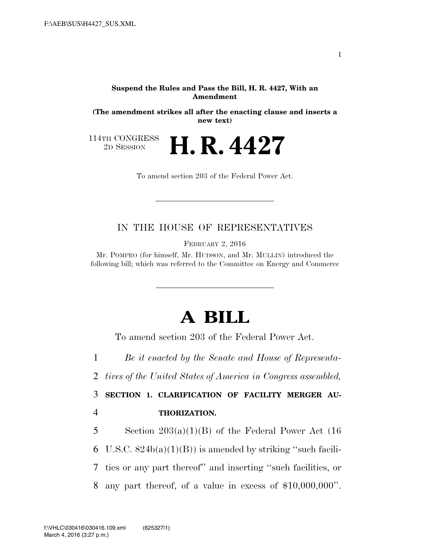#### **Suspend the Rules and Pass the Bill, H. R. 4427, With an Amendment**

**(The amendment strikes all after the enacting clause and inserts a new text)** 

114TH CONGRESS<br>2D SESSION

2D SESSION **H. R. 4427** 

To amend section 203 of the Federal Power Act.

## IN THE HOUSE OF REPRESENTATIVES

FEBRUARY 2, 2016

Mr. POMPEO (for himself, Mr. HUDSON, and Mr. MULLIN) introduced the following bill; which was referred to the Committee on Energy and Commerce

# **A BILL**

To amend section 203 of the Federal Power Act.

1 *Be it enacted by the Senate and House of Representa-*

2 *tives of the United States of America in Congress assembled,* 

3 **SECTION 1. CLARIFICATION OF FACILITY MERGER AU-**4 **THORIZATION.** 

5 Section  $203(a)(1)(B)$  of the Federal Power Act (16

6 U.S.C.  $824b(a)(1)(B)$  is amended by striking "such facili-

7 ties or any part thereof'' and inserting ''such facilities, or

8 any part thereof, of a value in excess of \$10,000,000''.